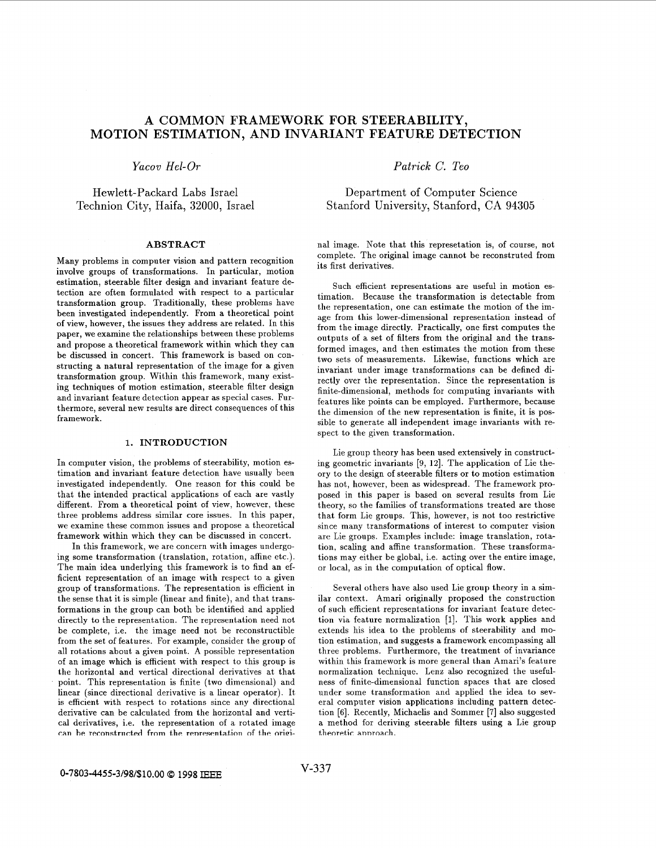# **A COMMON FRAMEWORK FOR STEERABILITY, MOTION ESTIMATION, AND INVARIANT FEATURE DETECTION**

*Yacov Hel-Or* 

Hewlett-Packard Labs Israel Technion City, Haifa, 32000, Israel

## **ABSTRACT**

Many problems in computer vision and pattern recognition involve groups of transformations. In particular, motion estimation, steerable filter design and invariant feature detection are often formulated with respect to a particular transformation group. Traditionally, these problems have been investigated independently. From a theoretical point of view, however, the issues they address are related. In this paper, we examine the relationships between these problems and propose a theoretical framework within which they can be discussed in concert. This framework is based on constructing a natural representation of the image for a given transformation group. Within this framework, many existing techniques of motion estimation, steerable filter design and invariant feature detection appear as special cases. Furthermore, several new results are direct consequences of this framework.

# **1. INTRODUCTION**

In computer vision, the problems of steerability, motion estimation and invariant feature detection have usually been investigated independently. One reason for this could be that the intended practical applications of each are vastly different. From a theoretical point of view, however, these three problems address similar core issues. In this paper, we examine these common issues and propose a theoretical framework within which they can be discussed in concert.

In this framework, we are concern with images undergoing some transformation (translation, rotation, affine etc.). The main idea underlying this framework is to find an efficient representation of an image with respect to a given group of transformations. The representation is efficient in the sense that it is simple (linear and finite), and that transformations in the group can both be identified and applied directly to the representation. The representation need not be complete, i.e. the image need not be reconstructible from the set of features. For example, consider the group of all rotations about a given point. A possible representation of an image which is efficient with respect to this group is the horizontal and vertical directional derivatives at that point. This representation is finite (two dimensional) and linear (since directional derivative is a linear operator). It is efficient with respect to rotations since any directional derivative can be calculated from the horizontal and vertical derivatives, i.e. the representation of a rotated image can be reconstructed from the representation of the origi*Patrick C. Teo* 

Department of Computer Science Stanford University, Stanford, CA **94305** 

nal image. Note that this represetation is, of course, not complete. The original image cannot be reconstruted from its first derivatives.

Such efficient representations are useful in motion estimation. Because the transformation is detectable from the representation, one can estimate the motion of the image from this lower-dimensional representation instead of from the image directly. Practically, one first computes the outputs of a set of filters from the original and the transformed images, and then estimates the motion from these two sets of measurements. Likewise, functions which are invariant under image transformations can be defined directly over the representation. Since the representation is finite-dimensional, methods for computing invariants with features like points can be employed. Furthermore, because the dimension of the new representation is finite, it is possible to generate all independent image invariants with respect to the given transformation.

Lie group theory has been used extensively in constructing geometric invariants  $[9, 12]$ . The application of Lie theory to the design of steerable filters or to motion estimation has not, however, been as widespread. The framework proposed in this paper is based on several results from Lie theory, so the families of transformations treated are those that form Lie groups. This, however, is not too restrictive since many transformations of interest to computer vision are Lie groups. Examples include: image translation, rotation, scaling and affine transformation. These transformations may either be global, i.e. acting over the entire image, or local, as in the computation of optical flow.

Several others have also used Lie group theory in a similar context. Amari originally proposed the construction of such efficient representations for invariant feature detection via feature normalization [I]. This work applies and extends his idea to the problems of steerability and motion estimation, and suggests a framework encompassing all three problems. Furthermore, the treatment of invariance within this framework is more general than Amari's feature normalization technique. Lenz also recognized the usefulness of finite-dimensional function spaces that are closed under some transformation and applied the idea to several computer vision applications including pattern detection **[6].** Recently, Michaelis and Sommer [7] also suggested a method for deriving steerable filters using a Lie group **t.henret,ic** annrnarh.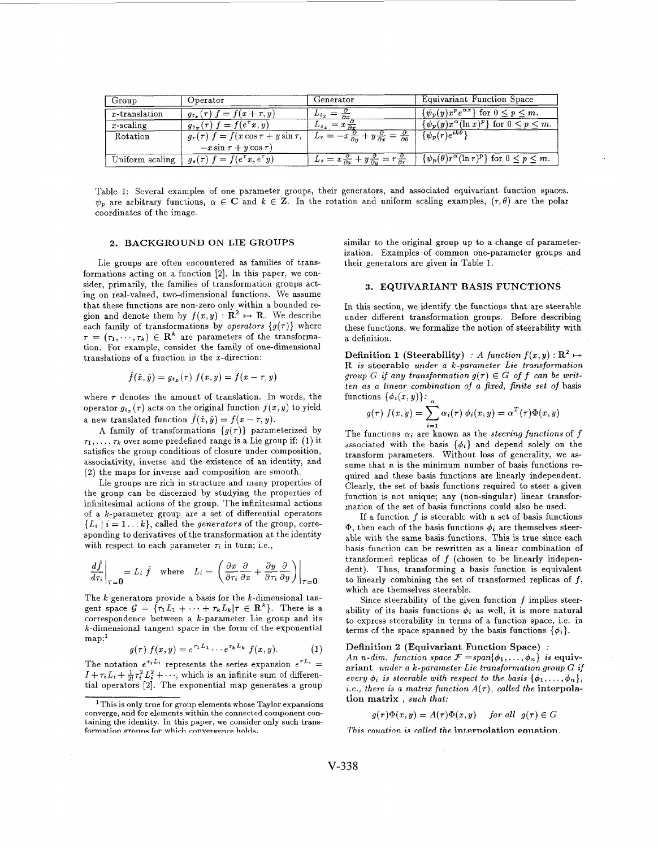| Group            | Operator                                     | $\rm{Generator}$                                                                                      | Equivariant Function Space                                      |
|------------------|----------------------------------------------|-------------------------------------------------------------------------------------------------------|-----------------------------------------------------------------|
| $x$ -translation | $f = f(x + \tau, y)$<br>$q_{t_{x}}(\tau)$ f  | $\mathcal{L}t_x$                                                                                      | $\{\psi_p(y)x^p e^{\alpha x}\}\$ for $0 \leq p \leq m$ .        |
| $x$ -scaling     | $g_{s_x}(\tau) f = f(e^{\tau}x, y)$          | $L_{s_x} = x \frac{1}{\partial x}$                                                                    | $\{\psi_p(y)x^{\alpha}(\ln x)^p\}$ for $0 \leq p \leq m$ .      |
| Rotation         | $g_r(\tau) f = f(x \cos \tau + y \sin \tau)$ | $-x\frac{\partial}{\partial y}+y\frac{\partial}{\partial x}=\frac{\partial}{\partial \theta}$         | $\{\psi_p(r)e^{ik\theta}\}$                                     |
|                  | $-x\sin\tau+y\cos\tau$                       |                                                                                                       |                                                                 |
| Uniform scaling  | $g_s(\tau) f = f(e^{\tau}x, e^{\tau}y)$      | $L_s = x \frac{\partial}{\partial x} + y \frac{\partial}{\partial y} = r \frac{\partial}{\partial r}$ | $\{\psi_p(\theta)r^{\alpha}(\ln r)^p\}$ for $0 \leq p \leq m$ . |

Table 1: Several examples of one parameter groups, their generators, and associated equivariant function spaces.  $\psi_p$  are arbitrary functions,  $\alpha \in \mathbb{C}$  and  $k \in \mathbb{Z}$ . In the rotation and uniform scaling examples,  $(r, \theta)$  are the polar coordinates of the image.

# 2. BACKGROUND ON LIE GROUPS

Lie groups are often encountered as families of transformations acting on a function *[2].* In this paper, we consider, primarily, the families of transformation groups acting on real-valued, two-dimensional functions. We assume that these functions are non-zero only within a bounded region and denote them by  $f(x,y) : \mathbf{R}^2 \mapsto \mathbf{R}$ . We describe each family of transformations by *operators*  $\{g(\tau)\}\$  where  $\tau = (\tau_1, \dots, \tau_k) \in \mathbb{R}^k$  are parameters of the transformation. For example, consider the family of one-dimensional translations of a function in the z-direction:

$$
\ddot{f}(\hat{x},\hat{y})=g_{t_x}(\tau)\ f(x,y)=f(x-\tau,y)
$$

where  $\tau$  denotes the amount of translation. In words, the operator  $g_{t_x}(\tau)$  acts on the original function  $f(x, y)$  to yield a new translated function  $\hat{f}(\hat{x}, \hat{y}) = f(x - \tau, y)$ .

A family of transformations  ${g(\tau)}$  parameterized by  $\tau_1, \ldots, \tau_k$  over some predefined range is a Lie group if: (1) it satisfies the group conditions of closure under composition, associativity, inverse and the existence of an identity, and (2) the maps for inverse and composition are smooth.

Lie groups are rich in structure and many properties of the group can be discerned by studying the properties of infinitesimal actions of the group. The infinitesimal actions of a k-parameter group are a set of differential operators  ${L_i \mid i = 1...k}$ , called the *generators* of the group, corresponding to derivatives of the transformation at the identity with respect to each parameter  $\tau_i$  in turn; i.e.,

$$
\frac{d\hat{f}}{d\tau_i}\bigg|_{\tau=0} = L_i \hat{f} \quad \text{where} \quad L_i = \left(\frac{\partial x}{\partial \tau_i} \frac{\partial}{\partial x} + \frac{\partial y}{\partial \tau_i} \frac{\partial}{\partial y}\right)\bigg|_{\tau=0}
$$

The  $k$  generators provide a basis for the  $k$ -dimensional tangent space  $G = {\tau_1 L_1 + \cdots + \tau_k L_k | \tau \in \mathbb{R}^k}$ . There is a correspondence between a k-parameter Lie group and its k-dimensional tangent space in the form of the exponential map:<sup>1</sup>

$$
g(\tau) f(x, y) = e^{\tau_1 L_1} \cdots e^{\tau_k L_k} f(x, y).
$$
 (1)

The notation  $e^{\tau_i L_i}$  represents the series expansion  $e^{\tau L_i}$  =  $I + \tau_i L_i + \frac{1}{2!} \tau_i^2 L_i^2 + \cdots$ , which is an infinite sum of differential operators [2]. The exponential map generates a group

similar to the original group up to a change of parameterization. Examples of common one-parameter groups and their generators are given in Table 1.

# **3.** EQUIVARIANT BASIS FUNCTIONS

In this section, we identify the functions that are steerable under different transformation groups. Before describing these functions, we formalize the notion of steerability with a definition.

**Definition 1 (Steerability)** : *A function*  $f(x, y) : \mathbb{R}^2 \mapsto$ R *is* steerable under a k-parameter Lie transformation group G if any transformation  $g(\tau) \in G$  of f can be written as a linear combination of **Q** fixed, finite set of basis functions  $\{\phi_i(x, y)\}\$ :

$$
g(\tau) f(x,y) = \sum_{i=1}^{n} \alpha_i(\tau) \phi_i(x,y) = \alpha^T(\tau) \Phi(x,y)
$$

The functions  $\alpha_i$  are known as the *steering functions* of *f* associated with the basis  $\{\phi_i\}$  and depend solely on the transform parameters. Without loss of generality, we assume that  $n$  is the minimum number of basis functions required and these basis functions are linearly independent. Clearly, the set of basis functions required to steer a given function is not unique; any (non-singular) linear transformation of the set of basis functions could also be used.

If a function  $f$  is steerable with a set of basis functions  $\Phi$ , then each of the basis functions  $\phi_i$  are themselves steerable with the same basis functions. This is true since each basis function can be rewritten as a linear combination of transformed replicas of *f* (chosen to be linearly independent). Thus, transforming a basis function is equivalent to linearly combining the set of transformed replicas of *f,*  which are themselves steerable.

Since steerability of the given function *f* implies steerability of its basis functions  $\phi_i$  as well, it is more natural to express steerability in terms of a function space, i.e. in terms of the space spanned by the basis functions  $\{\phi_i\}$ .

# Definition 2 (Equivariant Function Space) :

An n-dim. function space  $\mathcal{F} = span{\phi_1, \ldots, \phi_n}$  is equivariant under a k-parameter Lie transformation group G if every  $\phi_i$  is steerable with respect to the basis  $\{\phi_1, \ldots, \phi_n\},\$ *i.e., there is a matrix function*  $A(\tau)$ *, called the interpola*tion matrix , such that:

$$
g(\tau)\Phi(x,y) = A(\tau)\Phi(x,y)
$$
 for all  $g(\tau) \in G$ 

This equation is called the internolation equation.

<sup>&#</sup>x27; This is only true for group elements whose Taylor expansions converge, and for elements within the connected component containing the identity. In this paper, we consider only such transformation groups for which convergence holds.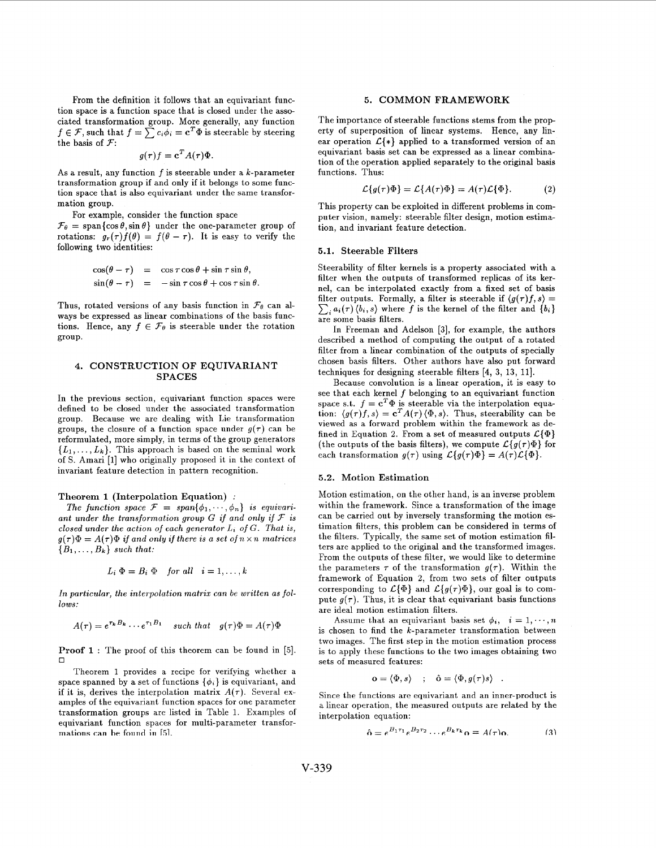From the definition it follows that an equivariant function space is a function space that is closed under the associated transformation group. More generally, any function  $f \in \mathcal{F}$ , such that  $f = \sum c_i \phi_i = \mathbf{c}^T \Phi$  is steerable by steering the basis of *7:* 

$$
g(\tau)f = \mathbf{c}^T A(\tau)\Phi.
$$

As a result, any function  $f$  is steerable under a  $k$ -parameter transformation group if and only if it belongs to some function space that is also equivariant under the same transformation group.

For example, consider the function space

 $\mathcal{F}_{\theta} = \text{span} \{ \cos \theta, \sin \theta \}$  under the one-parameter group of rotations:  $g_r(\tau) f(\theta) = f(\theta - \tau)$ . It is easy to verify the following two identities:

$$
\cos(\theta - \tau) = \cos \tau \cos \theta + \sin \tau \sin \theta,
$$
  
\n
$$
\sin(\theta - \tau) = -\sin \tau \cos \theta + \cos \tau \sin \theta.
$$

Thus, rotated versions of any basis function in  $\mathcal{F}_{\theta}$  can always be expressed as linear combinations of the basis functions. Hence, any  $f \in \mathcal{F}_{\theta}$  is steerable under the rotation group.

# **4.** CONSTRUCTION OF EQUIVARIANT SPACES

In the previous section, equivariant function spaces were defined to be closed under the associated transformation group. Because we are dealing with Lie transformation groups, the closure of a function space under  $g(\tau)$  can be reformulated, more simply, in terms of the group generators  ${L_1, \ldots, L_k}$ . This approach is based on the seminal work of S. Amari **[l]** who originally proposed it in the context of invariant feature detection in pattern recognition.

#### Theorem 1 (Interpolation Equation) :

The function space  $\mathcal{F} = span{\lbrace \phi_1, \cdots, \phi_n \rbrace}$  is equivariant under the transformation group  $G$  if and only if  $F$  is closed under the action of each generator  $L_i$  of  $G$ . That is,  $g(\tau)\Phi = A(\tau)\Phi$  if and only if there is a set of  $n \times n$  matrices  ${B_1, \ldots, B_k}$  such that:

$$
L_i \Phi = B_i \Phi \quad \text{for all} \quad i = 1, \dots, k
$$

In particular, the interpolation matrix can *be* written as follows:

$$
A(\tau) = e^{\tau_k B_k} \cdots e^{\tau_1 B_1} \quad \text{such that} \quad g(\tau) \Phi = A(\tau) \Phi
$$

**Proof 1** : The proof of this theorem can be found in *[5].*   $\Box$ 

Theorem 1 provides a recipe for verifying whether a space spanned by a set of functions  $\{\phi_i\}$  is equivariant, and if it is, derives the interpolation matrix  $A(\tau)$ . Several examples of the equivariant function spaces for one parameter transformation groups are listed in Table 1. Examples of equivariant function spaces for multi-parameter transformations can be found in [5].

# *5.* COMMON FRAMEWORK

The importance of steerable functions stems from the property of superposition of linear systems. Hence, any linear operation  $\mathcal{L}\{\ast\}$  applied to a transformed version of an equivariant basis set can be expressed as a linear combination of the operation applied separately to the original basis functions. Thus:

$$
\mathcal{L}\lbrace g(\tau)\Phi\rbrace = \mathcal{L}\lbrace A(\tau)\Phi\rbrace = A(\tau)\mathcal{L}\lbrace \Phi\rbrace. \tag{2}
$$

This property can be exploited in different problems in computer vision, namely: steerable filter design, motion estimation, and invariant feature detection.

# **5.1.** Steerable Filters

Steerability of filter kernels is a property associated with a filter when the outputs of transformed replicas of its kernel, can be interpolated exactly from a fixed set of basis filter outputs. Formally, a filter is steerable if  $\langle g(\tau)f, s \rangle = \sum_i a_i(\tau) \langle b_i, s \rangle$  where f is the kernel of the filter and  $\{b_i\}$ are some basis filters.

In Freeman and Adelson **[3],** for example, the authors described a method of computing the output of a rotated filter from a linear combination of the outputs of specially chosen basis filters. Other authors have also put forward techniques for designing steerable filters [4, 3, 13, 11].

Because convolution is a linear operation, it is easy to see that each kernel  $f$  belonging to an equivariant function space s.t.  $f = \mathbf{c}^T \Phi$  is steerable via the interpolation equation:  $\langle g(\tau)f, s \rangle = \mathbf{c}^T A(\tau) \langle \Phi, s \rangle$ . Thus, steerability can be viewed as a forward problem within the framework as defined in Equation 2. From a set of measured outputs *C{@}*  (the outputs of the basis filters), we compute  $\mathcal{L}{g(\tau)\Phi}$  for each transformation  $g(\tau)$  using  $\mathcal{L}{g(\tau)\Phi} = A(\tau)\mathcal{L}{\Phi}$ .

### *5.2.* Motion Estimation

Motion estimation, on the other hand, is an inverse problem within the framework. Since a transformation of the image can be carried out by inversely transforming the motion estimation filters, this problem can be considered in terms of the filters. Typically, the same set of motion estimation filters are applied to the original and the transformed images. From the outputs of these filter, we would like to determine the parameters  $\tau$  of the transformation  $g(\tau)$ . Within the framework of Equation *2,* from two sets of filter outputs corresponding to  $\mathcal{L}\{\Phi\}$  and  $\mathcal{L}\{g(\tau)\Phi\}$ , our goal is to compute  $g(\tau)$ . Thus, it is clear that equivariant basis functions are ideal motion estimation filters.

Assume that an equivariant basis set  $\phi_i$ ,  $i = 1, \dots, n$ is chosen to find the  $k$ -parameter transformation between two images. The first step in the motion estimation process is to apply these functions to the two images obtaining two sets of measured features:

$$
\mathbf{o} = \langle \Phi, s \rangle \quad ; \quad \hat{\mathbf{o}} = \langle \Phi, g(\tau) s \rangle \quad .
$$

Since the functions are equivariant and an inner-product is a linear operation, the measured outputs are related by the interpolation equation:

$$
\hat{\mathbf{o}} = e^{B_1 \tau_1} e^{B_2 \tau_2} \cdots e^{B_k \tau_k} \mathbf{o} = A(\tau) \mathbf{o}.
$$
 (3)